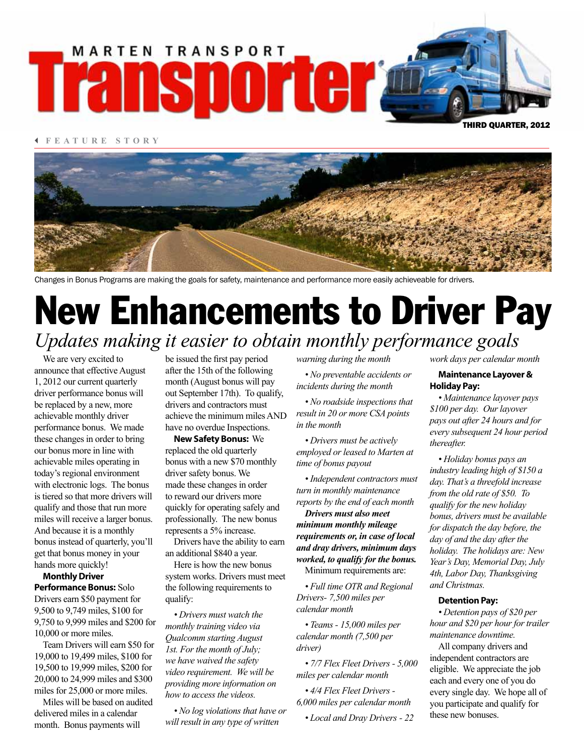# **MARTEN TRANSPORT Transporter@**

3 **FEATURE STORY**



Changes in Bonus Programs are making the goals for safety, maintenance and performance more easily achieveable for drivers.

## *Updates making it easier to obtain monthly performance goals* New Enhancements to Driver Pay

We are very excited to announce that effective August 1, 2012 our current quarterly driver performance bonus will be replaced by a new, more achievable monthly driver performance bonus. We made these changes in order to bring our bonus more in line with achievable miles operating in today's regional environment with electronic logs. The bonus is tiered so that more drivers will qualify and those that run more miles will receive a larger bonus. And because it is a monthly bonus instead of quarterly, you'll get that bonus money in your hands more quickly!

**Monthly Driver Performance Bonus:** Solo Drivers earn \$50 payment for 9,500 to 9,749 miles, \$100 for 9,750 to 9,999 miles and \$200 for 10,000 or more miles.

Team Drivers will earn \$50 for 19,000 to 19,499 miles, \$100 for 19,500 to 19,999 miles, \$200 for 20,000 to 24,999 miles and \$300 miles for 25,000 or more miles.

Miles will be based on audited delivered miles in a calendar month. Bonus payments will

be issued the first pay period after the 15th of the following month (August bonus will pay out September 17th). To qualify, drivers and contractors must achieve the minimum miles AND have no overdue Inspections.

**New Safety Bonus:** We replaced the old quarterly bonus with a new \$70 monthly driver safety bonus. We made these changes in order to reward our drivers more quickly for operating safely and professionally. The new bonus represents a 5% increase.

Drivers have the ability to earn an additional \$840 a year.

Here is how the new bonus system works. Drivers must meet the following requirements to qualify:

*• Drivers must watch the monthly training video via Qualcomm starting August 1st. For the month of July; we have waived the safety video requirement. We will be providing more information on how to access the videos.*

*• No log violations that have or will result in any type of written* 

*warning during the month*

*• No preventable accidents or incidents during the month*

*• No roadside inspections that result in 20 or more CSA points in the month*

*• Drivers must be actively employed or leased to Marten at time of bonus payout*

*• Independent contractors must turn in monthly maintenance reports by the end of each month*

*Drivers must also meet minimum monthly mileage requirements or, in case of local and dray drivers, minimum days worked, to qualify for the bonus.*  Minimum requirements are:

*• Full time OTR and Regional Drivers- 7,500 miles per calendar month*

*• Teams - 15,000 miles per calendar month (7,500 per driver)*

*• 7/7 Flex Fleet Drivers - 5,000 miles per calendar month*

*• 4/4 Flex Fleet Drivers - 6,000 miles per calendar month*

*• Local and Dray Drivers - 22* 

*work days per calendar month*

THIRD QUARTER, 2012

#### **Maintenance Layover & Holiday Pay:**

*• Maintenance layover pays \$100 per day. Our layover pays out after 24 hours and for every subsequent 24 hour period thereafter.*

*• Holiday bonus pays an industry leading high of \$150 a day. That's a threefold increase from the old rate of \$50. To qualify for the new holiday bonus, drivers must be available for dispatch the day before, the day of and the day after the holiday. The holidays are: New Year's Day, Memorial Day, July 4th, Labor Day, Thanksgiving and Christmas.*

#### **Detention Pay:**

*• Detention pays of \$20 per hour and \$20 per hour for trailer maintenance downtime.*

All company drivers and independent contractors are eligible. We appreciate the job each and every one of you do every single day. We hope all of you participate and qualify for these new bonuses.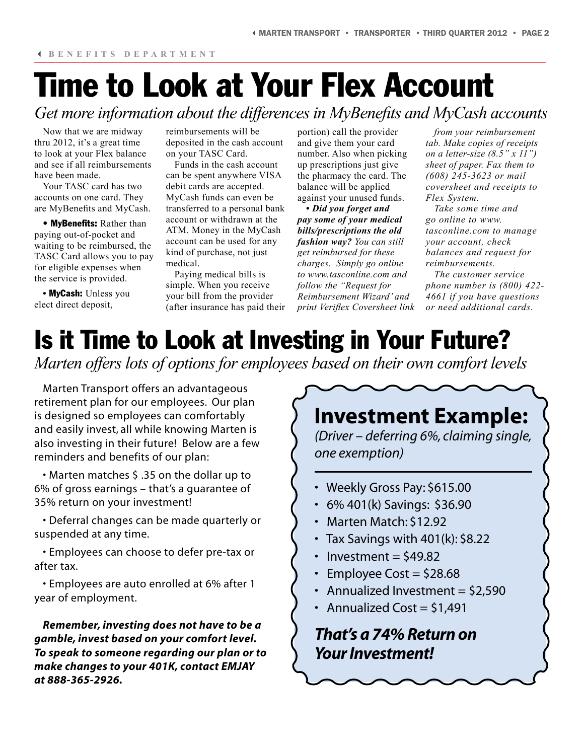### Time to Look at Your Flex Account *Get more information about the differences in MyBenefits and MyCash accounts*

Now that we are midway thru 2012, it's a great time to look at your Flex balance and see if all reimbursements have been made.

Your TASC card has two accounts on one card. They are MyBenefits and MyCash.

• **MyBenefits:** Rather than paying out-of-pocket and waiting to be reimbursed, the TASC Card allows you to pay for eligible expenses when the service is provided.

**•** MyCash: Unless you elect direct deposit,

reimbursements will be deposited in the cash account on your TASC Card.

Funds in the cash account can be spent anywhere VISA debit cards are accepted. MyCash funds can even be transferred to a personal bank account or withdrawn at the ATM. Money in the MyCash account can be used for any kind of purchase, not just medical.

Paying medical bills is simple. When you receive your bill from the provider (after insurance has paid their

portion) call the provider and give them your card number. Also when picking up prescriptions just give the pharmacy the card. The balance will be applied against your unused funds.

*• Did you forget and pay some of your medical bills/prescriptions the old fashion way? You can still get reimbursed for these charges. Simply go online to www.tasconline.com and follow the "Request for Reimbursement Wizard' and print Veriflex Coversheet link* 

*from your reimbursement tab. Make copies of receipts on a letter-size (8.5" x 11") sheet of paper. Fax them to (608) 245-3623 or mail coversheet and receipts to Flex System.* 

*Take some time and go online to www. tasconline.com to manage your account, check balances and request for reimbursements.* 

*The customer service phone number is (800) 422- 4661 if you have questions or need additional cards.*

### Is it Time to Look at Investing in Your Future?

*Marten offers lots of options for employees based on their own comfort levels*

Marten Transport offers an advantageous retirement plan for our employees. Our plan is designed so employees can comfortably and easily invest, all while knowing Marten is also investing in their future! Below are a few reminders and benefits of our plan:

• Marten matches \$ .35 on the dollar up to 6% of gross earnings – that's a guarantee of 35% return on your investment!

• Deferral changes can be made quarterly or suspended at any time.

• Employees can choose to defer pre-tax or after tax.

• Employees are auto enrolled at 6% after 1 year of employment.

*Remember, investing does not have to be a gamble, invest based on your comfort level. To speak to someone regarding our plan or to make changes to your 401K, contact EMJAY at 888-365-2926.*

### **Investment Example:**

*(Driver – deferring 6%, claiming single, one exemption)* 

- Weekly Gross Pay: \$615.00
- 6% 401(k) Savings: \$36.90
- Marten Match: \$12.92
- Tax Savings with 401(k): \$8.22
- Investment  $=$  \$49.82
- Employee Cost  $=$  \$28.68
- Annualized Investment  $=$  \$2,590
- Annualized Cost =  $$1,491$

*That's a 74% Return on Your Investment!*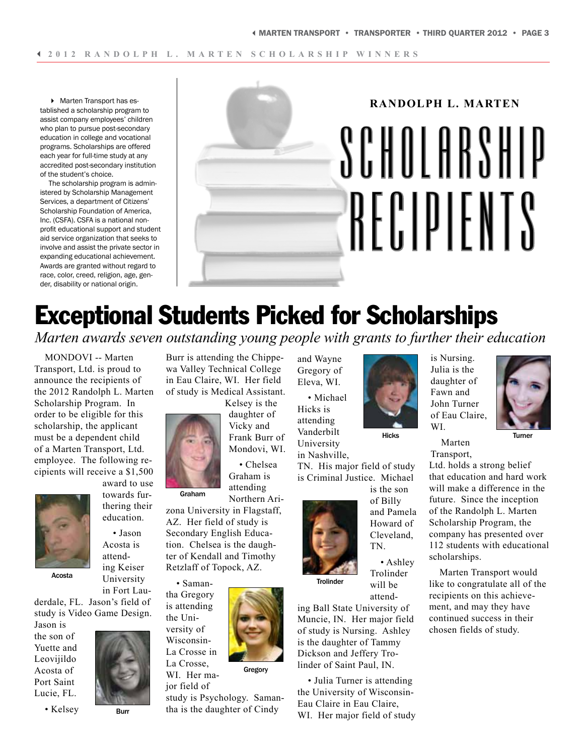4 Marten Transport has established a scholarship program to assist company employees' children who plan to pursue post-secondary education in college and vocational programs. Scholarships are offered each year for full-time study at any accredited post-secondary institution of the student's choice.

The scholarship program is administered by Scholarship Management Services, a department of Citizens' Scholarship Foundation of America, Inc. (CSFA). CSFA is a national nonprofit educational support and student aid service organization that seeks to involve and assist the private sector in expanding educational achievement. Awards are granted without regard to race, color, creed, religion, age, gender, disability or national origin.



### Exceptional Students Picked for Scholarships

*Marten awards seven outstanding young people with grants to further their education*

MONDOVI -- Marten Transport, Ltd. is proud to announce the recipients of the 2012 Randolph L. Marten Scholarship Program. In order to be eligible for this scholarship, the applicant must be a dependent child of a Marten Transport, Ltd. employee. The following recipients will receive a \$1,500



award to use towards furthering their education.

• Jason Acosta is attend-

Acosta

ing Keiser University in Fort Lau-

derdale, FL. Jason's field of study is Video Game Design.

Jason is the son of Yuette and Leovijildo Acosta of Port Saint Lucie, FL.



Burr

• Kelsey

Burr is attending the Chippewa Valley Technical College in Eau Claire, WI. Her field of study is Medical Assistant.

Kelsey is the daughter of

Vicky and Frank Burr of Mondovi, WI.

• Chelsea Graham is attending Northern Ari-

zona University in Flagstaff, AZ. Her field of study is Secondary English Education. Chelsea is the daughter of Kendall and Timothy Retzlaff of Topock, AZ.

• Saman-

Graham

Wisconsin-

jor field of

tha Gregory is attending the University of

La Crosse in La Crosse, WI. Her ma-Gregory

study is Psychology. Samantha is the daughter of Cindy

and Wayne Gregory of Eleva, WI.

• Michael Hicks is attending Vanderbilt University in Nashville,

TN. His major field of study is Criminal Justice. Michael



**Trolinder** 

attending Ball State University of Muncie, IN. Her major field of study is Nursing. Ashley is the daughter of Tammy Dickson and Jeffery Trolinder of Saint Paul, IN.

• Julia Turner is attending the University of Wisconsin-Eau Claire in Eau Claire, WI. Her major field of study



Hicks

is the son of Billy and Pamela Howard of Cleveland, TN.

• Ashley Trolinder will be

Fawn and John Turner of Eau Claire, WI. Marten

is Nursing. Julia is the daughter of

Turner

Transport, Ltd. holds a strong belief that education and hard work will make a difference in the future. Since the inception of the Randolph L. Marten Scholarship Program, the company has presented over 112 students with educational scholarships.

Marten Transport would like to congratulate all of the recipients on this achievement, and may they have continued success in their chosen fields of study.

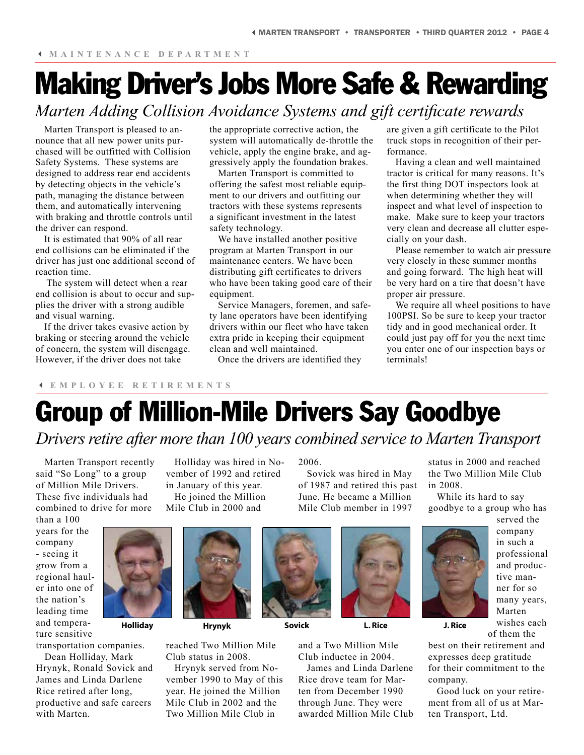### Making Driver's Jobs More Safe & Rewarding *Marten Adding Collision Avoidance Systems and gift certificate rewards*

Marten Transport is pleased to announce that all new power units purchased will be outfitted with Collision Safety Systems. These systems are designed to address rear end accidents by detecting objects in the vehicle's path, managing the distance between them, and automatically intervening with braking and throttle controls until the driver can respond.

It is estimated that 90% of all rear end collisions can be eliminated if the driver has just one additional second of reaction time.

 The system will detect when a rear end collision is about to occur and supplies the driver with a strong audible and visual warning.

If the driver takes evasive action by braking or steering around the vehicle of concern, the system will disengage. However, if the driver does not take

the appropriate corrective action, the system will automatically de-throttle the vehicle, apply the engine brake, and aggressively apply the foundation brakes.

Marten Transport is committed to offering the safest most reliable equipment to our drivers and outfitting our tractors with these systems represents a significant investment in the latest safety technology.

We have installed another positive program at Marten Transport in our maintenance centers. We have been distributing gift certificates to drivers who have been taking good care of their equipment.

Service Managers, foremen, and safety lane operators have been identifying drivers within our fleet who have taken extra pride in keeping their equipment clean and well maintained.

Once the drivers are identified they

are given a gift certificate to the Pilot truck stops in recognition of their performance.

Having a clean and well maintained tractor is critical for many reasons. It's the first thing DOT inspectors look at when determining whether they will inspect and what level of inspection to make. Make sure to keep your tractors very clean and decrease all clutter especially on your dash.

Please remember to watch air pressure very closely in these summer months and going forward. The high heat will be very hard on a tire that doesn't have proper air pressure.

We require all wheel positions to have 100PSI. So be sure to keep your tractor tidy and in good mechanical order. It could just pay off for you the next time you enter one of our inspection bays or terminals!

#### 3 **EMPLOYEE RETIREMENTS**

### Group of Million-Mile Drivers Say Goodbye

### *Drivers retire after more than 100 years combined service to Marten Transport*

Marten Transport recently said "So Long" to a group of Million Mile Drivers. These five individuals had combined to drive for more

than a 100 years for the company - seeing it grow from a regional hauler into one of the nation's leading time and temperature sensitive

transportation companies. Dean Holliday, Mark Hrynyk, Ronald Sovick and James and Linda Darlene Rice retired after long, productive and safe careers with Marten.



vember of 1992 and retired

Holliday was hired in No-2006.

Sovick was hired in May of 1987 and retired this past June. He became a Million Mile Club member in 1997

status in 2000 and reached the Two Million Mile Club in 2008.

While its hard to say goodbye to a group who has



served the company in such a professional and productive manner for so many years, Marten wishes each

of them the

best on their retirement and expresses deep gratitude for their commitment to the company.

Good luck on your retirement from all of us at Marten Transport, Ltd.



reached Two Million Mile Club status in 2008.

Hrynyk served from November 1990 to May of this year. He joined the Million Mile Club in 2002 and the Two Million Mile Club in





and a Two Million Mile Club inductee in 2004.

James and Linda Darlene Rice drove team for Marten from December 1990 through June. They were awarded Million Mile Club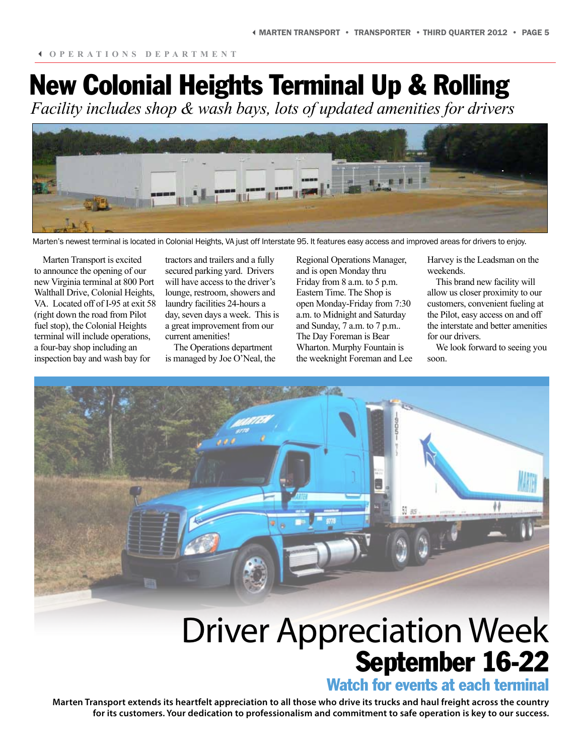# New Colonial Heights Terminal Up & Rolling

*Facility includes shop & wash bays, lots of updated amenities for drivers*



Marten's newest terminal is located in Colonial Heights, VA just off Interstate 95. It features easy access and improved areas for drivers to enjoy.

Marten Transport is excited to announce the opening of our new Virginia terminal at 800 Port Walthall Drive, Colonial Heights, VA. Located off of I-95 at exit 58 (right down the road from Pilot fuel stop), the Colonial Heights terminal will include operations, a four-bay shop including an inspection bay and wash bay for

tractors and trailers and a fully secured parking yard. Drivers will have access to the driver's lounge, restroom, showers and laundry facilities 24-hours a day, seven days a week. This is a great improvement from our current amenities!

The Operations department is managed by Joe O'Neal, the Regional Operations Manager, and is open Monday thru Friday from 8 a.m. to 5 p.m. Eastern Time. The Shop is open Monday-Friday from 7:30 a.m. to Midnight and Saturday and Sunday, 7 a.m. to 7 p.m.. The Day Foreman is Bear Wharton. Murphy Fountain is the weeknight Foreman and Lee Harvey is the Leadsman on the weekends.

This brand new facility will allow us closer proximity to our customers, convenient fueling at the Pilot, easy access on and off the interstate and better amenities for our drivers.

We look forward to seeing you soon.



# Driver Appreciation Week September 16-22

### Watch for events at each terminal

**Marten Transport extends its heartfelt appreciation to all those who drive its trucks and haul freight across the country for its customers. Your dedication to professionalism and commitment to safe operation is key to our success.**